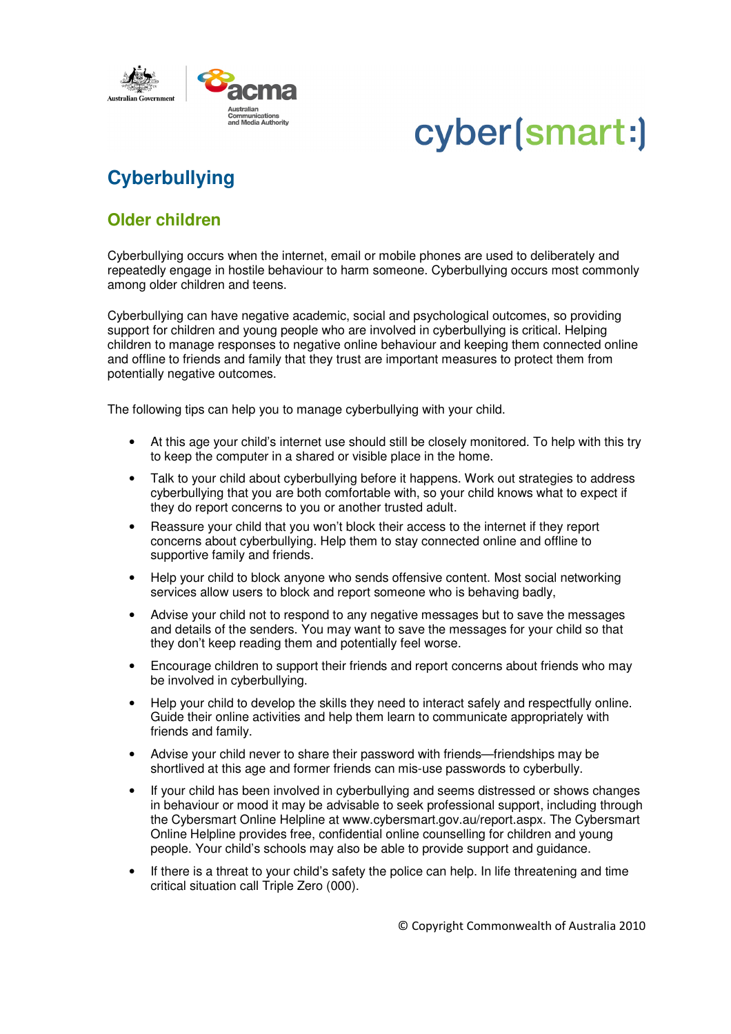



## **Cyberbullying**

## **Older children**

Cyberbullying occurs when the internet, email or mobile phones are used to deliberately and repeatedly engage in hostile behaviour to harm someone. Cyberbullying occurs most commonly among older children and teens.

Cyberbullying can have negative academic, social and psychological outcomes, so providing support for children and young people who are involved in cyberbullying is critical. Helping children to manage responses to negative online behaviour and keeping them connected online and offline to friends and family that they trust are important measures to protect them from potentially negative outcomes.

The following tips can help you to manage cyberbullying with your child.

- At this age your child's internet use should still be closely monitored. To help with this try to keep the computer in a shared or visible place in the home.
- Talk to your child about cyberbullying before it happens. Work out strategies to address cyberbullying that you are both comfortable with, so your child knows what to expect if they do report concerns to you or another trusted adult.
- Reassure your child that you won't block their access to the internet if they report concerns about cyberbullying. Help them to stay connected online and offline to supportive family and friends.
- Help your child to block anyone who sends offensive content. Most social networking services allow users to block and report someone who is behaving badly,
- Advise your child not to respond to any negative messages but to save the messages and details of the senders. You may want to save the messages for your child so that they don't keep reading them and potentially feel worse.
- Encourage children to support their friends and report concerns about friends who may be involved in cyberbullying.
- Help your child to develop the skills they need to interact safely and respectfully online. Guide their online activities and help them learn to communicate appropriately with friends and family.
- Advise your child never to share their password with friends—friendships may be shortlived at this age and former friends can mis-use passwords to cyberbully.
- If your child has been involved in cyberbullying and seems distressed or shows changes in behaviour or mood it may be advisable to seek professional support, including through the Cybersmart Online Helpline at www.cybersmart.gov.au/report.aspx. The Cybersmart Online Helpline provides free, confidential online counselling for children and young people. Your child's schools may also be able to provide support and guidance.
- If there is a threat to your child's safety the police can help. In life threatening and time critical situation call Triple Zero (000).

© Copyright Commonwealth of Australia 2010